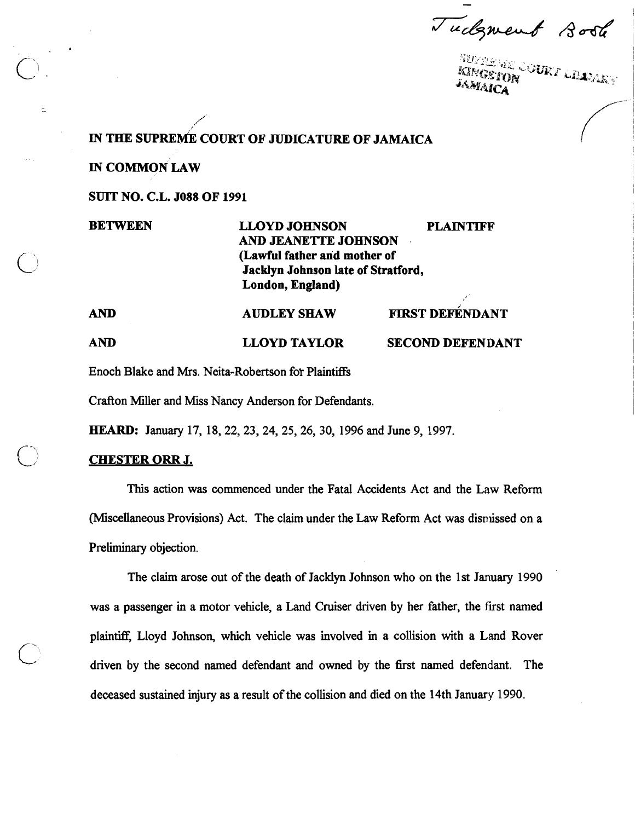Tudgment 8006

IN THE SUPREME COURT OF JUDICATURE OF JAMAICA

**IN COMMON LAW** 

**SUIT NO. C.L. JO88 OF 1991** 

**BETWEEN AND LLOYD JOHNSON PLAINTIFF AND JEANE'ITE JOHNSON** , **(Lawful father and mother of Jacklyn Johnson late of Stratford, London, England) AUDLEY SHAW FIRST DEFÉNDANT** 

**AND LLOYD TAYLOR SECOND DEFENDANT** 

Enoch Blake and Mrs. Neita-Robertson for Plaintiffs

Crafton Miller and Miss Nancy Anderson for Defendants.

**HEARD:** January 17, 18,22,23,24,25,26,30, 1996 and June 9, 1997.

# **CHESTER ORR J.**

This action was commenced under the Fatal Accidents Act and the Law Reform (Miscellaneous Provisions) Act. The claim under the Law Reform Act was dismissed on a Preliminary objection.

The claim arose out of the death of Jacklyn Johnson who on the 1st January 1990 was a passenger in a motor vehicle, a Land Cruiser driven by her father, the first named plaintiff, Lloyd Johnson, which vehicle was involved in a collision with a Land Rover driven by the second named defendant and owned by the first named defendant. The deceased sustained injury as a result of the collision and died on the 14th January 1990.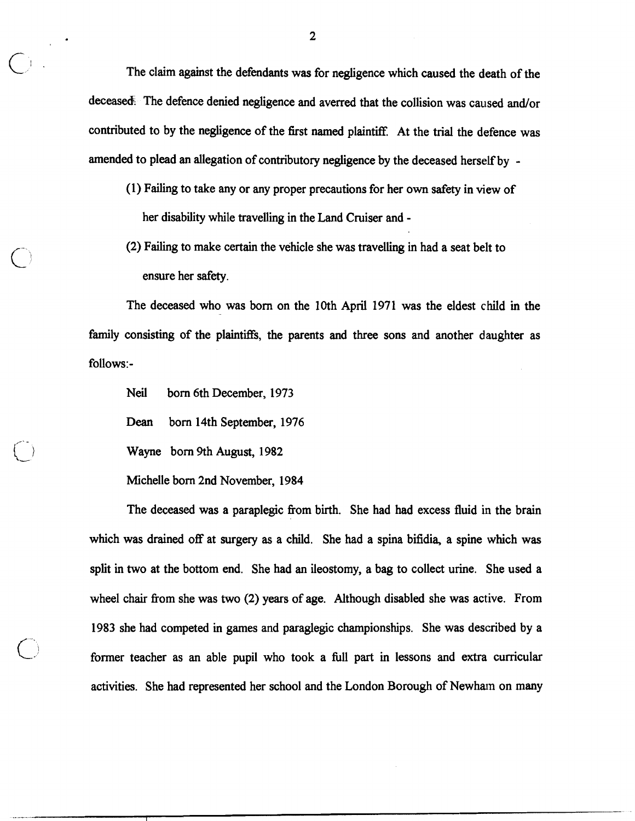2<br>The claim against the defendants was for negligence which caused the death of the deceased. The defence denied negligence and averred that the collision was caused and/or contributed to by the negligence of the first named plaintiff. At the trial the defence was amended to plead an allegation of contributory negligence by the deceased herself by -

- (1) Failing to take any or any proper precautions for her own safety in view of her disability while travelling in the Land Cruiser and -
- (2) Failing to make certain the vehicle she was travelling in had a seat belt to ensure her safety.

The deceased who was born on the 10th April 1971 was the eldest child in the family consisting of the plaintiffs, the parents and three sons and another daughter as follows:-

Neil born 6th December, 1973

**Dean** born 14th September, 1976

Wayne born 9th August, 1982

Michelle born 2nd November, 1984

The deceased was a paraplegic from birth. She had had excess fluid in the brain which was drained off at surgery as a child. She had a spina bifidia, a spine which was split in two at the bottom end. She had an ileostomy, a bag to collect urine. She used a wheel chair from she was two (2) years of age. Although disabled she was active. From 1983 she had competed in games and paraglegic championships. She was described by a former teacher as an able pupil who took a full part in lessons and extra curricular activities. She had represented her school and the London Borough of Newham on many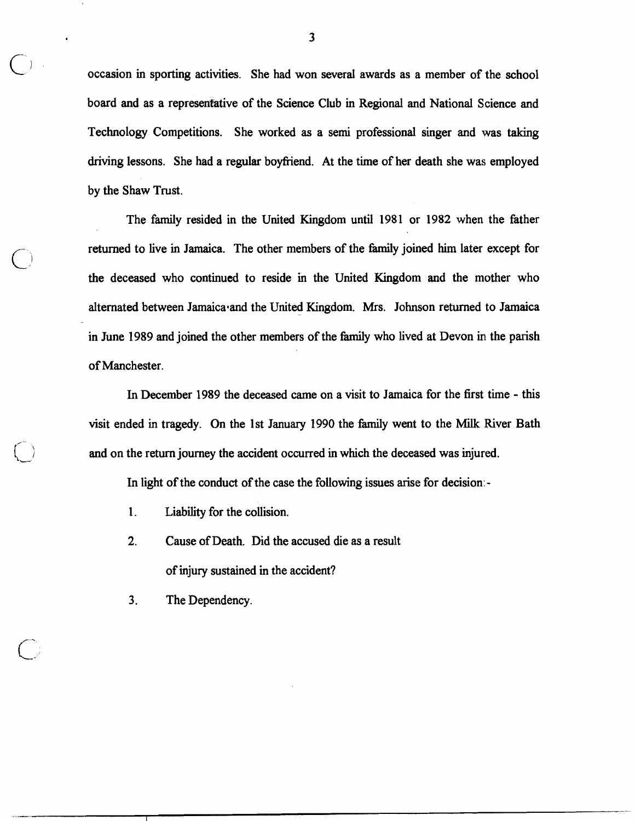occasion in sporting activities. She had won several awards as a member of the school board and as a representative of the Science Club in Regional and National Science and Technology Competitions. She worked as a semi professional singer and was taking driving lessons. She had a regular boyfriend. At the time of her death she was employed by the Shaw Trust.

The family resided in the United Kingdom until 1981 or 1982 when the father returned to live in Jamaica. The other members of the family joined him later except for the deceased who continued to reside in the United Kingdom and the mother who alternated between Jamaica and the United Kingdom. Mrs. Johnson returned to Jamaica in June 1989 and joined the other members of the family who lived at Devon in the parish of Manchester.

In December 1989 the deceased came on a visit to Jamaica for the first time - this visit ended in tragedy. On the 1st January 1990 the family went to the Milk River Bath and on the return journey the accident occurred in which the deceased was injured.

In light of the conduct of the case the following issues arise for decision: -

- 1. Liability for the collision.
- 2. Cause of Death. Did the accused die as a result of injury sustained in the accident?
- 3. The Dependency.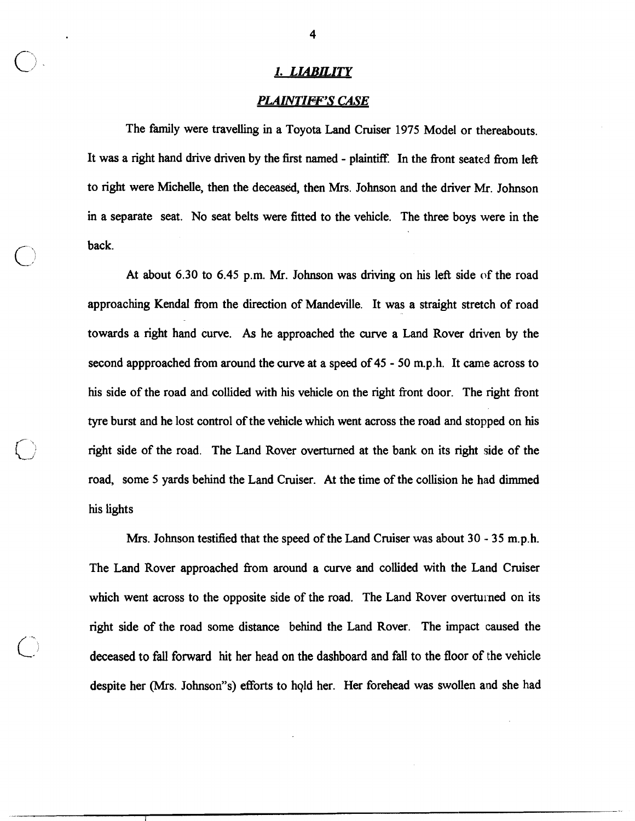# **1.** *LWILITY*

#### *PLAINTIFF'S CASE*

The family were travelling in a Toyota Land Cruiser **1975** Model or thereabouts. It was a right hand drive driven by the first named - plaintiff. In the front seated from left to right were Michelle, then the deceased, then Mrs. Johnson and the driver Mr. Johnson in a separate seat. No seat belts were fitted to the vehicle. The three boys were in the  $\bigcirc$  back.

At about **6.30** to **6.45** p.m. Mr. Johnson was driving on his left side of the road approaching Kendal fiom the direction of Mandeville. It was a straight stretch of road towards a right hand curve. As he approached the curve a Land Rover driven by the second appproached fiom around the curve at a speed of **45** - **50** m.p.h. It came across to his side of the road and collided with his vehicle on the right front door. The right front tyre burst and he lost control of the vehicle which went across the road and stopped on his right side of the road. The Land Rover overturned at the bank on its right side of the road, some **5** yards behind the Land Cruiser. At the time of the collision he had dimmed his lights

Mrs. Johnson testifled that the speed of the Land Cruiser was about **30** - **35** m.p.h. The Land Rover approached from around a curve and collided with the Land Cruiser which went across to the opposite side of the road. The Land Rover overturned on its right side of the road some distance behind the Land Rover. The impact caused the deceased to fall forward hit her head on the dashboard and fall to the floor of the vehicle despite her (Mrs. Johnson"s) efforts to hold her. Her forehead was swollen and she had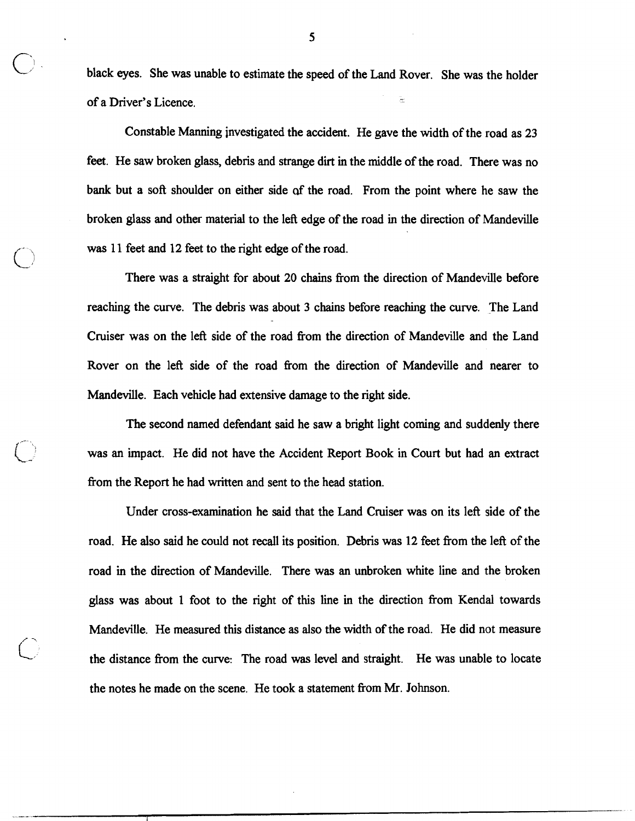black eyes. She was unable to estimate the speed of the Land Rover. She was the holder of a Driver's Licence.

Constable Manning investigated the accident. He gave the width of the road as **23**  feet. He saw broken glass, debris and strange dirt in the middle of the road. There was no bank but a soft shoulder on either side **af** the road. From the point where he saw the broken glass and other material to the left edge of the road in the direction of Mandeville *C* was **11** feet and **12** feet to the right edge of the road.

There was a straight for about **20** chains fiom the direction of Mandeville before reaching the curve. The debris was about 3 chains before reaching the curve. The Land Cruiser was on the left side of the road fiom the direction of Mandeville and the Land Rover on the left side of the road from the direction of Mandeville and nearer to Mandeville. Each vehicle had extensive damage to the right side.

The second named defendant said he saw a bright light coming and suddenly there was an impact. He did not have the Accident Report Book in Court but had an extract fiom the Report he had written and sent to the head station.

 $\overline{\phantom{a}}$ , , , , ,

Under cross-examination he said that the Land Cruiser was on its left side of the road. He also said he could not recall its position. Debris was **12** feet fiom the left of the road in the direction of Mandeville. There was an unbroken white line and the broken glass was about **1** foot to the right of this line in the direction from Kendal towards Mandeville. He measured this distance as also the width of the road. He did not measure c' the distance fiom the curve: The road was level and straight. He was unable to locate the notes he made on the scene. He took a statement from Mr. Johnson.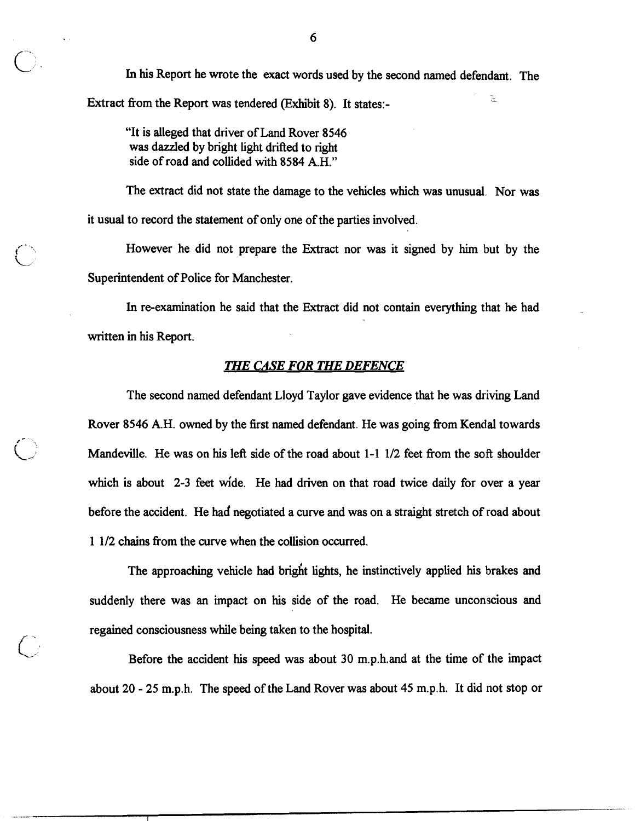In his Report he wrote the exact words used by the second named defendant. The Extract fiom the Report was tendered (Exhibit **8).** It states:- -

"It is alleged that driver of Land Rover **8546**  was dazzled by bright light drifted to right side of road and collided with **8584** A.H."

The extract did not state the damage to the vehicles which was unusual. Nor was it usual to record the statement of only one of the parties involved.

However he did not prepare the Extract nor was it signed by him but by the Superintendent of Police for Manchester.

In re-examination he said that the Extract did not contain everything that he had written in his Report.

## *THE CASE FOR THE DEFENCE*

The second named defendant Lloyd Taylor gave evidence that he was driving Land Rover 8546 A.H. owned by the first named defendant. He was going from Kendal towards Mandeville. He was on his left side of the road about 1-1 1/2 feet from the soft shoulder which is about **2-3** feet wide. He had driven on that road twice daily for over a year before the accident. He had negotiated a curve and was on a straight stretch of road about **1 112** chains fiom the curve when the collision occurred.

The approaching vehicle had bright lights, he instinctively applied his brakes and suddenly there was an impact on his side of the road. He became unconscious and regained consciousness while being taken to the hospital.

(-: Before the accident his speed was about **30** m.p.h.and at the time of the impact about **20** - **25** m.p.h. The speed of the Land Rover was about **45** m.p.h. It did not stop or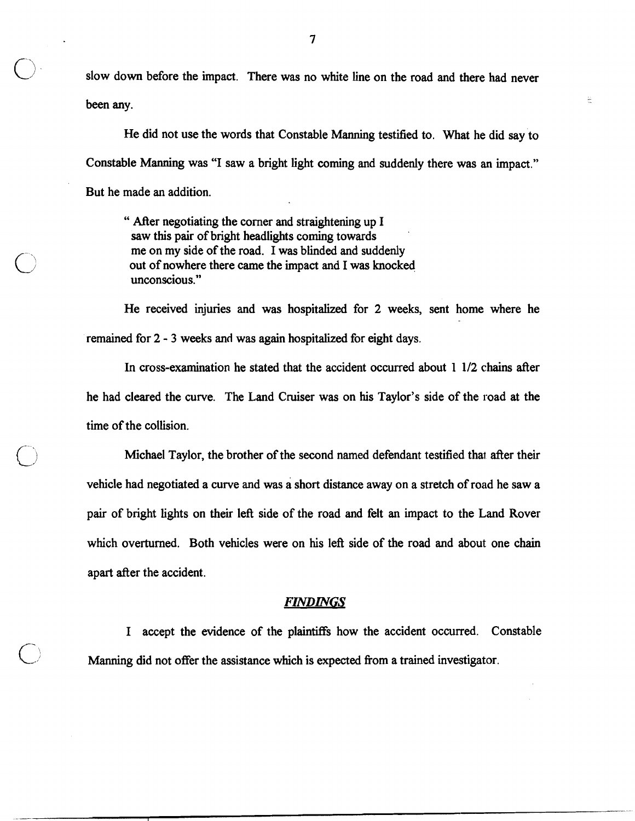7<br>1- slow down before the impact. There was no white line on the road and there had never been any.

ۦ

He did not use the words that Constable Manning testified to. What he did say to Constable Manning was "I saw a bright light coming and suddenly there was an impact." But he made an addition.

" After negotiating the comer and straightening up I saw this pair of bright headlights coming towards me on my side of the road. I was blinded and suddenly out of nowhere there came the impact and I was knocked unconscious."

He received injuries and was hospitalized for 2 weeks, sent home where he remained for 2 - 3 weeks **and** was again hospitalized for eight days.

**Ln** cross-examination he stated that the accident occurred about 1 112 chains after he had cleared the curve. The Land Cruiser was on his Taylor's side of the road at the time of the collision.

Michael Taylor, the brother of the second named defendant testified that after their vehicle had negotiated a curve and was a short distance away on a stretch of road he saw a pair of bright lights on their left side of the road and felt an impact to the Land Rover which overturned. Both vehicles were on his left side of the road and about one chain apart after the accident.

# *FINDINGS*

I accept the evidence of the plaintiffs how the accident occurred. Constable Manning did not offer the assistance which is expected from a trained investigator.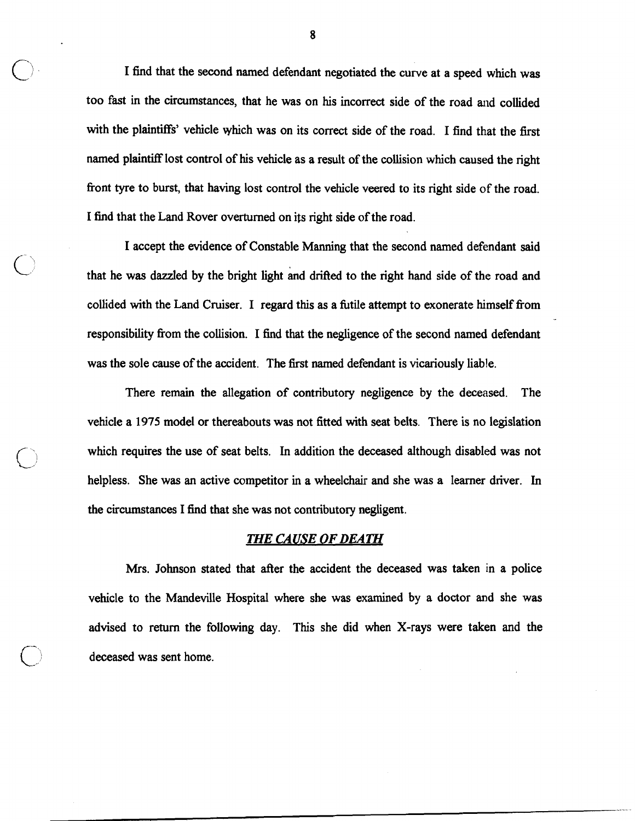I find that the second named defendant negotiated the curve at a speed which was too fast in the circumstances, that he was on his incorrect side of the road and collided with the plaintiffs' vehicle which was on its correct side of the road. I find that the first named plaintiff lost control of his vehicle as a result of the collision which caused the right front tyre to burst, that having lost control the vehicle veered to its right side of the road. I find that the Land Rover overturned on its right side of the road.

I accept the evidence of Constable Manning that the second named defendant said that he was dazzled by the bright light and drifted to the right hand side of the road and collided with the Land Cruiser. I regard this as a futile attempt to exonerate himself fiom responsibility from the collision. I find that the negligence of the second named defendant was the sole cause of the accident. The first named defendant is vicariously liable.

There remain the allegation of contributory negligence by the deceased. The vehicle a 1975 model or thereabouts was not fitted with seat belts. There is no legislation which requires the use of seat belts. In addition the deceased although disabled was not helpless. She was an active competitor in a wheelchair and she was a learner driver. In the circumstances I find that she was not contributory negligent.

#### *Z'HE CAUSE* **OF** *DEATH*

Mrs. Johnson stated that after the accident the deceased was taken in a police vehicle to the Mandeville Hospital where she was examined by a doctor and she was advised to return the following day. This she did when X-rays were taken and the deceased was sent home.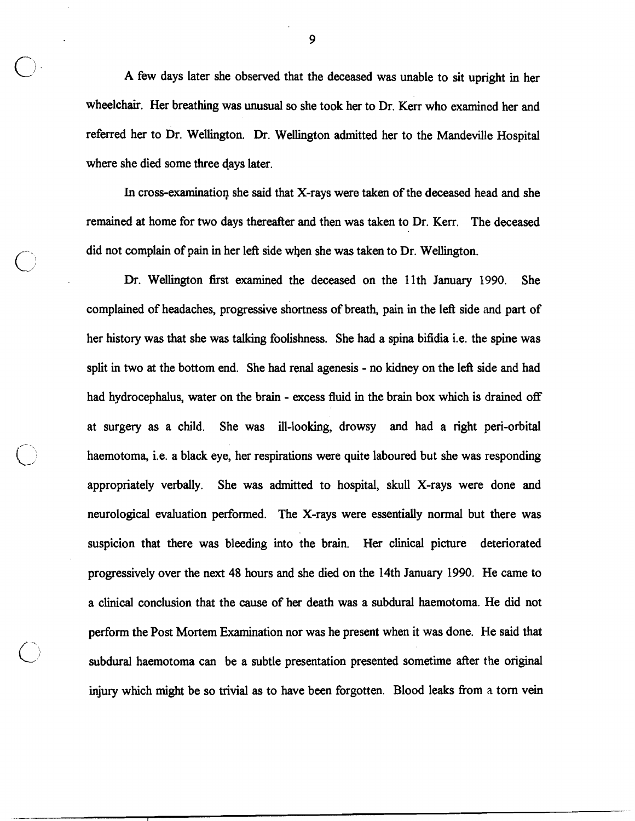A few days later she observed that the deceased was unable to sit upright in her wheelchair. Her breathing was unusual so she took her to Dr. Kerr who examined her and referred her to Dr. Wellington. Dr. Wellington admitted her to the Mandeville Hospital where she died some three days later.

In cross-examination she said that X-rays were taken of the deceased head and she remained at home for two days thereafter and then was taken to Dr. Kerr. The deceased did not complain of pain in her left side when she was taken to Dr. Wellington.

Dr. Wellington first examined the deceased on the 11th January **1990.** She complained of headaches, progressive shortness of breath, pain in the left side and part of her history was that she was talking foolishness. She had a spina bifidia i.e. the spine was split in two at the bottom end. She had renal agenesis - no kidney on the left side and had had hydrocephalus, water on the brain - excess fluid in the brain box which is drained off at surgery as a child. She was ill-looking, drowsy and had a right peri-orbital haemotoma, i.e. a black eye, her respirations were quite laboured but she was responding appropriately verbally. She was admitted to hospital, skull X-rays were done and neurological evaluation performed. The X-rays were essentially normal but there was suspicion that there was bleeding into the brain. Her clinical picture deteriorated progressively over the next 48 hours and she died on the 14th January **1990.** He came to a clinical conclusion that the cause of her death was a subdural haemotoma. He did not perform the Post Mortem Examination nor was he present when it was done. He said that subdural haemotoma can be a subtle presentation presented sometime after the original injury which might be so trivial as to have been forgotten. Blood leaks fiom a tom vein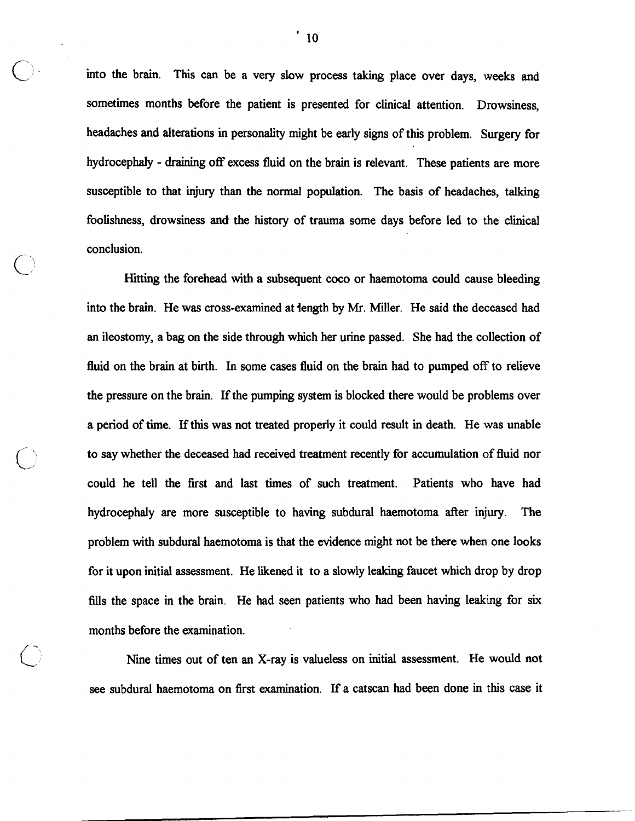into the brain. This can be a very slow process taking place over days, weeks and sometimes months before the patient is presented for clinical attention. Drowsiness, headaches and alterations in personality might be early signs of this problem. Surgery for hydrocephaly - draining off excess fluid on the brain is relevant. These patients are more susceptible to that injury than the normal population. The basis of headaches, talking foolishness, drowsiness and the history of trauma some days before led to the clinical conclusion.

Hitting the forehead with a subsequent coco or haemotoma could cause bleeding into the brain. He was cross-examined at iength by Mr. Miller. He said the deceased had an ileostomy, a bag on the side through which her urine passed. She had the collection of fluid on the brain at birth. In some cases fluid on the brain had to pumped off to relieve the pressure on the brain. If the pumping system is blocked there would be problems over a period of time. If this was not treated properly it could result in death. He was unable to say whether the deceased had received treatment recently for accumulation of fluid nor could he tell the first and last times of such treatment. Patients who have had hydrocephaly are more susceptible to having subdural haemotoma after injury. The problem with subdural haemotoma is that the evidence might not be there when one looks for it upon initial assessment. He likened it to a slowly leaking faucet which drop by drop fills the space in the brain. He had seen patients who had been having leaking for six months before the examination.

Nine times out of ten an X-ray is valueless on initial assessment. He would not see subdural haemotoma on first examination. If a catscan had been done in this case it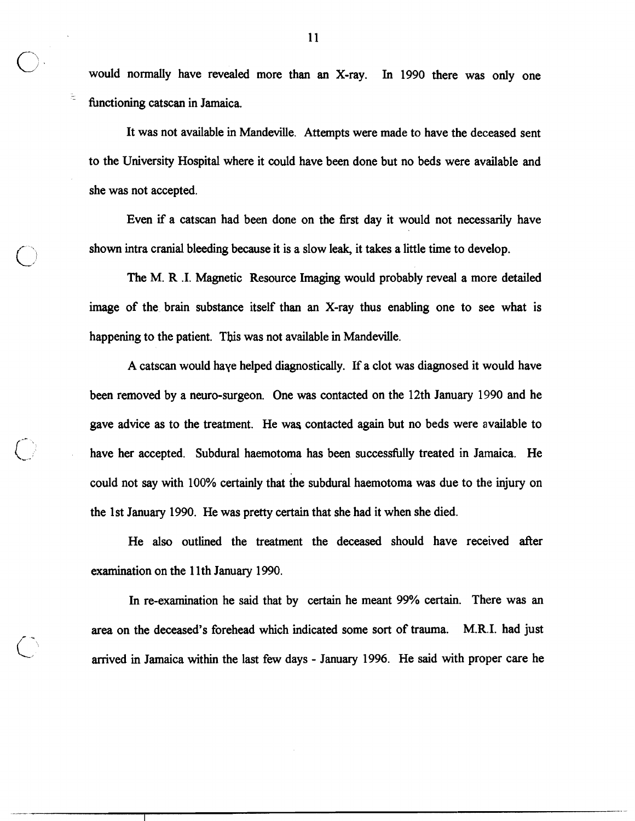$\bigcirc$  would would normally have revealed more than an X-ray. In 1990 there was only one functioning catscan in Jamaica.

> It was not available in Mandeville. Attempts were made to have the deceased sent to the University Hospital where it could have been done but no beds were available and she was not accepted.

> Even **if** a catscan had been done on the fist day it would not necessarily have shown intra cranial bleeding because it is a slow leak, it takes a little time to develop.

> The M. R .I. Magnetic Resource Imaging would probably reveal a more detailed image of the brain substance itself than an X-ray thus enabling one to see what is happening to the patient. This was not available in Mandeville.

> A catscan would haye helped diagnostically. If a clot was diagnosed it would have been removed by a neuro-surgeon. One was contacted on the 12th January 1990 and he gave advice as to the treatment. He wa contacted again but no beds were available to have her accepted. Subdural haemotoma has been successfully treated in Jamaica. He could not say with 100% certainly that the subdural haemotoma was due to the injury on the 1st January 1990. He was pretty certain that she had it when she died.

> He also outlined the treatment the deceased should have received after examination on the 11<sup>th</sup> January 1990.

> In re-examination he said that by certain he meant 99% certain. There was an area on the deceased's forehead which indicated some sort of trauma. M.R.I. had just arrived in Jamaica within the last few days - January 1996. He said with proper care he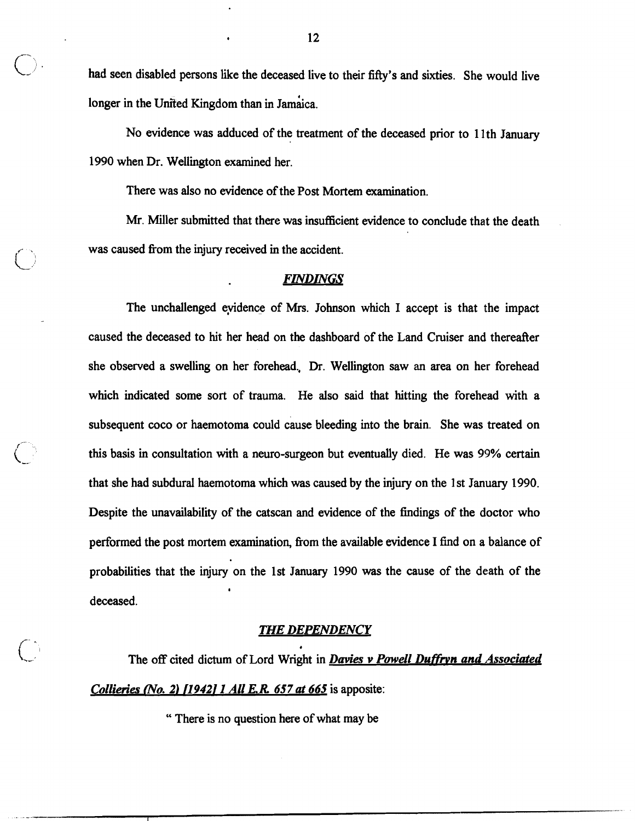<sup>c.</sup> had seen disabled persons like the deceased live to their fifty's and sixties. She would live longer in the United Kingdom than in Jamaica.

No evidence was adduced of the treatment of the deceased prior to 1 lth January 1990 when Dr. Wellington examined her.

There was also no evidence of the Post Mortem examination.

 $\bigcirc$ 

Mr. Miller submitted that there was insufficient evidence to conclude that the death was caused fiom the injury received in the accident.

## $FINDINGS$

The unchallenged eyidence of Mrs. Johnson which I accept is that the impact caused the deceased to hit her head on the dashboard of the Land Cruiser and thereafter she observed a swelling on her forehead., Dr. Wellington saw an area on her forehead which indicated some sort of trauma. He also said that hitting the forehead with a subsequent coco or haemotoma could cause bleeding into the brain. She was treated on this basis in consultation with a neuro-surgeon but eventually died. He was 99% certain that she had subdural haemotoma which was caused by the injury on the 1 st January 1990. Despite the unavailability of the catscan and evidence of the findings of the doctor who performed the post mortem examination, fiom the available evidence I find on a balance of probabilities that the injury on the 1st January 1990 was the cause of the death of the **I**  deceased.

#### *THE DEPENDENCY*

**4** 

The off cited dictum of Lord Wright in *Davies v Powell Duffryn and Associated Collieries (No. 2) [1942] 1 All E.R. 657 at 665* **is apposite:** 

" There is no question here of what may be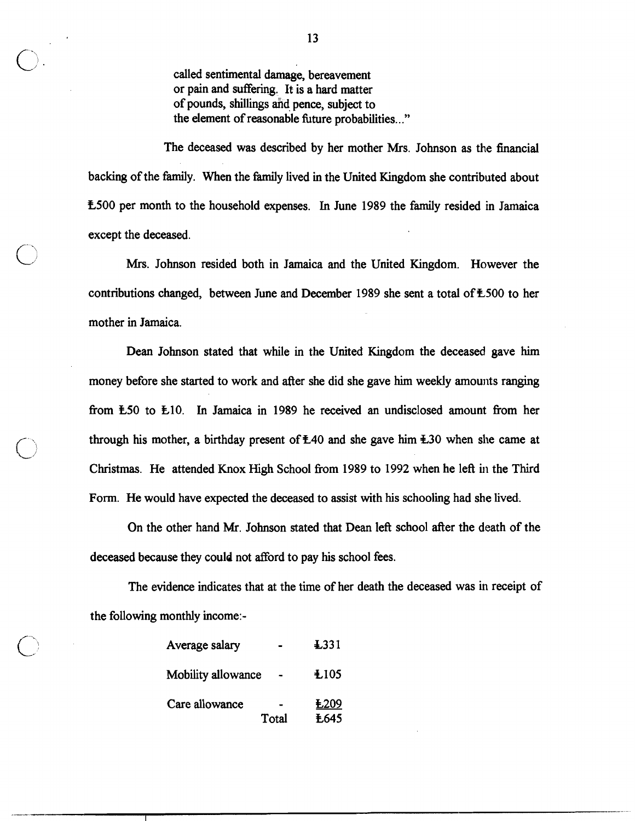called sentimental damage, bereavement or pain and suffering. **It** is a hard matter of pounds, shillings and pence, subject to the element of reasonable fhture probabilities. .."

The deceased was described by her mother Mrs. Johnson as the financial backing of the family. When the family lived in the United Kingdom she contributed about **L500** per month to the household expenses. In June **1989** the family resided in Jamaica except the deceased.

Mrs. Johnson resided both in Jamaica and the United Kingdom. However the contributions changed, between June and December 1989 she sent a total of £500 to her mother in Jamaica.

Dean Johnson stated that while in the United Kingdom the deceased gave him money before she started to work and after she did she gave him weekly amounts ranging fiom **L50** to **k10. In** Jamaica in **1989** he received an undisclosed amount fiom her through his mother, a birthday present of  $\text{\pounds}40$  and she gave him  $\text{\pounds}30$  when she came at Christmas. He attended Knox High School fiom **1989** to **1992** when he left in the Third Form. He would have expected the deceased to assist with his schooling had she lived..

On the other hand Mr. Johnson stated that Dean left school after the death of the deceased because they could not afford to pay his school fees.

The evidence indicates that at the time of her death the deceased was in receipt of the following monthly income:-

| Average salary     |       | $\textcolor{red}{\textbf{\textcolor{blue}{\pm}}}$ .331 |
|--------------------|-------|--------------------------------------------------------|
| Mobility allowance |       | ±105                                                   |
| Care allowance     |       | £209                                                   |
|                    | Total | <b><i><u>E645</u></i></b>                              |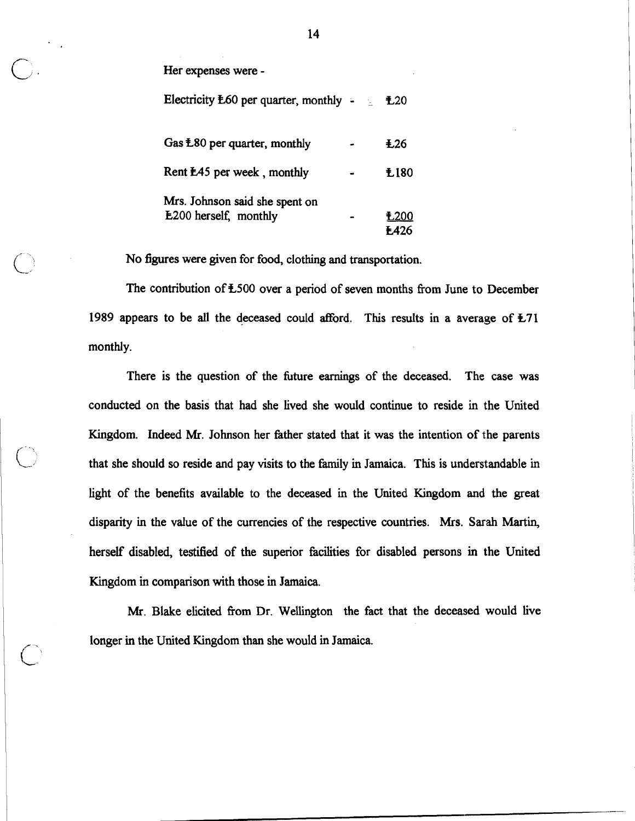Her expenses were -

Electricity  $E60$  per quarter, monthly  $\div$   $E20$ 

| Gas $\text{\pounds}80$ per quarter, monthly                    | $+26$               |
|----------------------------------------------------------------|---------------------|
| Rent <b>E45</b> per week, monthly                              | £180                |
| Mrs. Johnson said she spent on<br><b>E200</b> herself, monthly | £200<br><b>E426</b> |

No figures were given for food, clothing and transportation.

The contribution of  $\text{\pounds}500$  over a period of seven months from June to December 1989 appears to be all the deceased could afford. This results in a average of **L71**  monthly.

There is the question of the future earnings of the deceased. The case was conducted on the basis that had she lived she would continue to reside in the United Kingdom. Indeed Mr. Johnson her father stated that it was the intention of the parents that she should so reside and pay visits to the family in Jamaica. This is understandable in light of the benefits available to the deceased in the United Kingdom and the great disparity in the value of the currencies of the respective countries. Mrs. Sarah Martin, 1 herself disabled, testified of the superior facilities for disabled persons in the United Kingdom in comparison with those in Jamaica.

Mr. Blake elicited from Dr. Wellington the fact that the deceased would live **/.** longer in the United Kingdom than she would in Jamaica.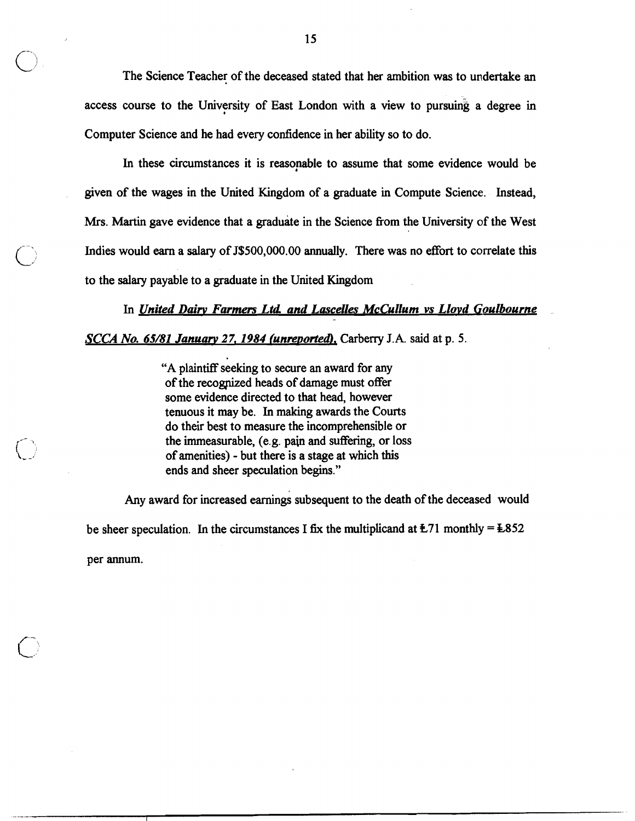The Science Teacher of the deceased stated that her ambition was to undertake an access course to the University of East London with a view to pursuing a degree in Computer Science and he had every confidence in her ability so to do.

In these circumstances it is reasonable to assume that some evidence would be given of the wages in the United Kingdom of a graduate in Compute Science. Instead, Mrs. Martin gave evidence that a graduate in the Science fiom the University of the West Indies would earn a salary of J\$500,000.00 annually. There was no effort to correlate this to the **salary** payable to a graduate in the United Kingdom

In *United Dairv Farmers Ltd and Lascelles McCullum vs Llovd Goulbourne* 

*SCG-4 No. 65/81 Januan, 2 7,1984 funrevorted),* Carberry **J. A.** said at p. **5.** 

**"A** plaintiff seeking to secure an award for any of the recogpized heads of damage must offer some evidence directed to that head, however tenuous it may be. In making awards the Courts do their best to measure the incomprehensible or the immeasurable, (e.g. pain and suffering, or loss of amenities) - but there is a stage at which this ends and sheer speculation begins."

Any award for increased earnings subsequent to the death of the deceased would be sheer speculation. In the circumstances I fix the multiplicand at  $\text{\textsterling}71$  monthly =  $\text{\textsterling}852$ per annum.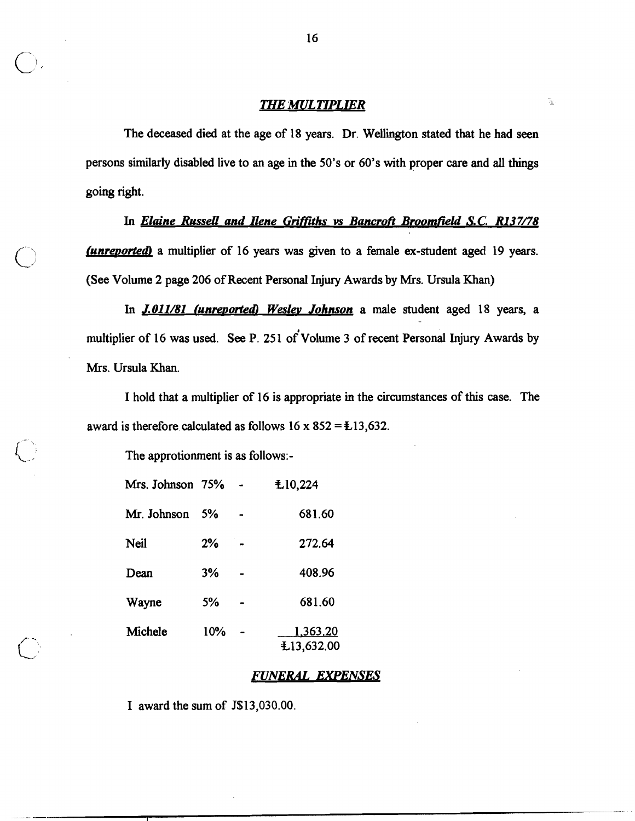# **THE MULTIPLIER**

 $\tilde{\Xi}$ 

The deceased died at the age of 18 years. Dr. Wellington stated that he had seen persons similarly disabled live to an age in the 50's or 60's with proper care and **all** things going right.

In *Elaine Russell and Ilene* **Grifftths** *vs Bancrofl Broomfield S.C. R137/78 (unreported)* a multiplier of 16 years was given to a female ex-student aged 19 years. (See Volume 2 page 206 of Recent Personal Injury Awards by Mrs. Ursula Khan)

In **J.011/81 (unreported)** Wesley Johnson a male student aged 18 years, a multiplier of 16 was used. See P. 251 of Volume 3 of recent Personal Injury Awards by Mrs. Ursula Khan.

I hold that a multiplier of 16 is appropriate in the circumstances of this case. The award is therefore calculated as follows  $16 \times 852 = \pm 13,632$ .

The approtionment is as follows:-

| Mrs. Johnson 75% |     | £10,224                       |
|------------------|-----|-------------------------------|
| Mr. Johnson      | 5%  | 681.60                        |
| Neil             | 2%  | 272.64                        |
| Dean             | 3%  | 408.96                        |
| Wayne            | 5%  | 681.60                        |
| Michele          | 10% | <u>1,363.20</u><br>£13,632.00 |

## *FUNERAL EXPENSES*

I award the sum of J\$13,030.00.